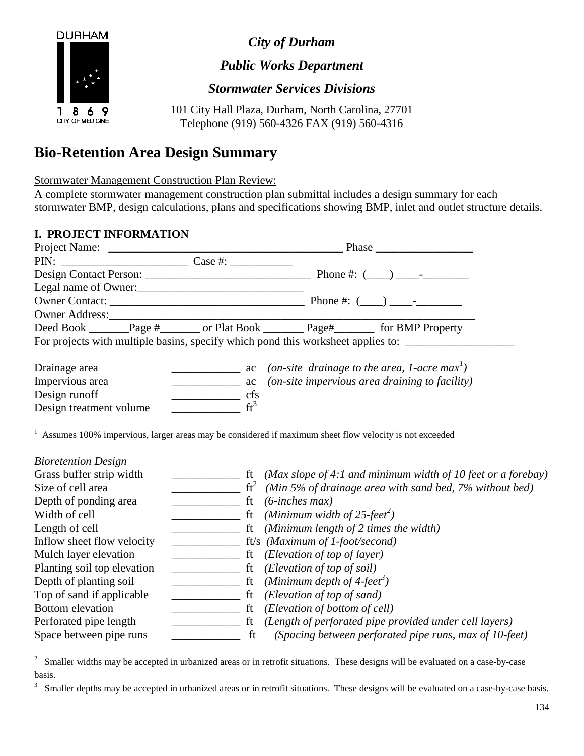

ı 8. 6 CITY OF MEDICINE *City of Durham*

*Public Works Department*

*Stormwater Services Divisions*

101 City Hall Plaza, Durham, North Carolina, 27701 Telephone (919) 560-4326 FAX (919) 560-4316

## **Bio-Retention Area Design Summary**

Stormwater Management Construction Plan Review:

A complete stormwater management construction plan submittal includes a design summary for each stormwater BMP, design calculations, plans and specifications showing BMP, inlet and outlet structure details.

## **I. PROJECT INFORMATION**

9

| Legal name of Owner:                                                                                                                     |                                                                                                                     |                                                                                                                                                                                                                                                                                                                                                                                                                                   |                                                                                  |  |
|------------------------------------------------------------------------------------------------------------------------------------------|---------------------------------------------------------------------------------------------------------------------|-----------------------------------------------------------------------------------------------------------------------------------------------------------------------------------------------------------------------------------------------------------------------------------------------------------------------------------------------------------------------------------------------------------------------------------|----------------------------------------------------------------------------------|--|
|                                                                                                                                          |                                                                                                                     |                                                                                                                                                                                                                                                                                                                                                                                                                                   |                                                                                  |  |
|                                                                                                                                          |                                                                                                                     |                                                                                                                                                                                                                                                                                                                                                                                                                                   |                                                                                  |  |
| Deed Book _______Page #_______ or Plat Book ________ Page#________ for BMP Property                                                      |                                                                                                                     |                                                                                                                                                                                                                                                                                                                                                                                                                                   |                                                                                  |  |
|                                                                                                                                          |                                                                                                                     |                                                                                                                                                                                                                                                                                                                                                                                                                                   | For projects with multiple basins, specify which pond this worksheet applies to: |  |
| Drainage area                                                                                                                            | <u> 1990 - John Harry Harry Harry Harry Harry Harry Harry Harry Harry Harry Harry Harry Harry Harry Harry Harry</u> | ac (on-site drainage to the area, 1-acre max <sup>1</sup> )                                                                                                                                                                                                                                                                                                                                                                       |                                                                                  |  |
| Impervious area                                                                                                                          | $\frac{\ }{\ }$ ac                                                                                                  | (on-site impervious area draining to facility)                                                                                                                                                                                                                                                                                                                                                                                    |                                                                                  |  |
| Design runoff                                                                                                                            | $\frac{\ }{\ }$ cfs                                                                                                 |                                                                                                                                                                                                                                                                                                                                                                                                                                   |                                                                                  |  |
| Design treatment volume $f{t}^3$                                                                                                         |                                                                                                                     |                                                                                                                                                                                                                                                                                                                                                                                                                                   |                                                                                  |  |
| $1$ Assumes 100% impervious, larger areas may be considered if maximum sheet flow velocity is not exceeded<br><b>Bioretention Design</b> |                                                                                                                     |                                                                                                                                                                                                                                                                                                                                                                                                                                   |                                                                                  |  |
| Grass buffer strip width                                                                                                                 |                                                                                                                     |                                                                                                                                                                                                                                                                                                                                                                                                                                   | $\frac{1}{1}$ ft (Max slope of 4:1 and minimum width of 10 feet or a forebay)    |  |
| Size of cell area                                                                                                                        |                                                                                                                     | $\frac{1}{2}$ ft <sup>2</sup> (Min 5% of drainage area with sand bed, 7% without bed)                                                                                                                                                                                                                                                                                                                                             |                                                                                  |  |
| Depth of ponding area                                                                                                                    |                                                                                                                     | ft $(6\text{-}inches max)$                                                                                                                                                                                                                                                                                                                                                                                                        |                                                                                  |  |
| Width of cell                                                                                                                            |                                                                                                                     | $\frac{1}{\sqrt{1-\frac{1}{1-\frac{1}{1-\frac{1}{1-\frac{1}{1-\frac{1}{1-\frac{1}{1-\frac{1}{1-\frac{1}{1-\frac{1}{1-\frac{1}{1-\frac{1}{1-\frac{1}{1-\frac{1}{1-\frac{1}{1-\frac{1}{1-\frac{1}{1-\frac{1}{1-\frac{1}{1-\frac{1}{1-\frac{1}{1-\frac{1}{1-\frac{1}{1-\frac{1}{1-\frac{1}{1-\frac{1}{1-\frac{1}{1-\frac{1}{1-\frac{1}{1-\frac{1}{1-\frac{1}{1-\frac{1}{1-\frac{1}{1-\frac{1}{1-\frac{1}{1-\frac{1}{1-\$             |                                                                                  |  |
| Length of cell                                                                                                                           |                                                                                                                     | ft (Minimum length of 2 times the width)                                                                                                                                                                                                                                                                                                                                                                                          |                                                                                  |  |
| Inflow sheet flow velocity                                                                                                               |                                                                                                                     | $f(x) = f(x)$ ft/s (Maximum of 1-foot/second)                                                                                                                                                                                                                                                                                                                                                                                     |                                                                                  |  |
| Mulch layer elevation                                                                                                                    |                                                                                                                     |                                                                                                                                                                                                                                                                                                                                                                                                                                   |                                                                                  |  |
| Planting soil top elevation                                                                                                              |                                                                                                                     |                                                                                                                                                                                                                                                                                                                                                                                                                                   |                                                                                  |  |
| Depth of planting soil                                                                                                                   |                                                                                                                     | $\frac{1}{\sqrt{1-\frac{1}{\sqrt{1-\frac{1}{\sqrt{1-\frac{1}{\sqrt{1-\frac{1}{\sqrt{1-\frac{1}{\sqrt{1-\frac{1}{\sqrt{1-\frac{1}{\sqrt{1-\frac{1}{\sqrt{1-\frac{1}{\sqrt{1-\frac{1}{\sqrt{1-\frac{1}{\sqrt{1-\frac{1}{\sqrt{1-\frac{1}{\sqrt{1-\frac{1}{\sqrt{1-\frac{1}{\sqrt{1-\frac{1}{\sqrt{1-\frac{1}{\sqrt{1-\frac{1}{\sqrt{1-\frac{1}{\sqrt{1-\frac{1}{\sqrt{1-\frac{1}{\sqrt{1-\frac{1}{\sqrt{1-\frac{1}{\sqrt{1-\frac{1$ |                                                                                  |  |
| Top of sand if applicable                                                                                                                |                                                                                                                     | $\frac{1}{\sqrt{1-\frac{1}{\sqrt{1-\frac{1}{\sqrt{1-\frac{1}{\sqrt{1-\frac{1}{\sqrt{1-\frac{1}{\sqrt{1-\frac{1}{\sqrt{1-\frac{1}{\sqrt{1-\frac{1}{\sqrt{1-\frac{1}{\sqrt{1-\frac{1}{\sqrt{1-\frac{1}{\sqrt{1-\frac{1}{\sqrt{1-\frac{1}{\sqrt{1-\frac{1}{\sqrt{1-\frac{1}{\sqrt{1-\frac{1}{\sqrt{1-\frac{1}{\sqrt{1-\frac{1}{\sqrt{1-\frac{1}{\sqrt{1-\frac{1}{\sqrt{1-\frac{1}{\sqrt{1-\frac{1}{\sqrt{1-\frac{1}{\sqrt{1-\frac{1$ |                                                                                  |  |
| <b>Bottom</b> elevation                                                                                                                  |                                                                                                                     |                                                                                                                                                                                                                                                                                                                                                                                                                                   |                                                                                  |  |
| Perforated pipe length                                                                                                                   |                                                                                                                     |                                                                                                                                                                                                                                                                                                                                                                                                                                   |                                                                                  |  |
| Space between pipe runs                                                                                                                  | <b>Example 1 C</b>                                                                                                  |                                                                                                                                                                                                                                                                                                                                                                                                                                   | (Spacing between perforated pipe runs, max of 10-feet)                           |  |

2 Smaller widths may be accepted in urbanized areas or in retrofit situations. These designs will be evaluated on a case-by-case basis.

3 Smaller depths may be accepted in urbanized areas or in retrofit situations. These designs will be evaluated on a case-by-case basis.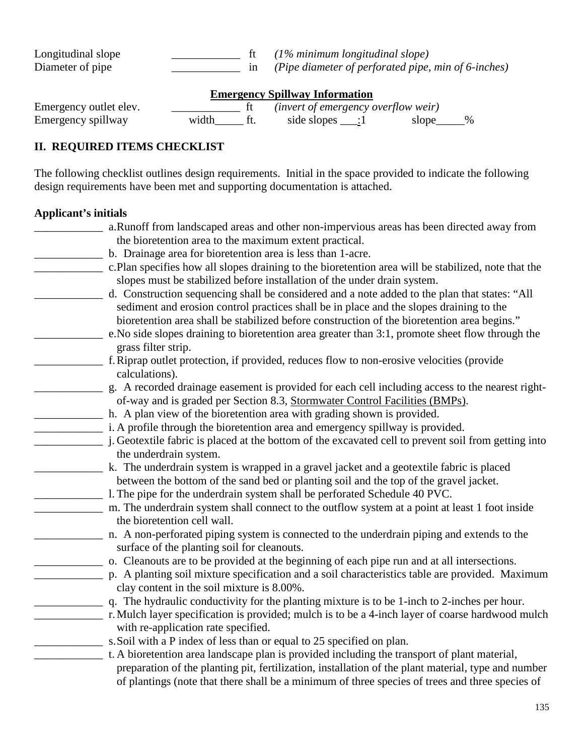Longitudinal slope \_\_\_\_\_\_\_\_\_\_\_\_ ft *(1% minimum longitudinal slope)* in (Pipe diameter of perforated pipe, min of 6-inches) **Emergency Spillway Information**

| Emergency outlet elev. |       | (invert of emergency overflow weir) |               |
|------------------------|-------|-------------------------------------|---------------|
| Emergency spillway     | width | side slopes $\qquad$ :1             | $\%$<br>slope |

## **II. REQUIRED ITEMS CHECKLIST**

The following checklist outlines design requirements. Initial in the space provided to indicate the following design requirements have been met and supporting documentation is attached.

## **Applicant's initials**

| a.Runoff from landscaped areas and other non-impervious areas has been directed away from            |
|------------------------------------------------------------------------------------------------------|
| the bioretention area to the maximum extent practical.                                               |
| b. Drainage area for bioretention area is less than 1-acre.                                          |
| c.Plan specifies how all slopes draining to the bioretention area will be stabilized, note that the  |
| slopes must be stabilized before installation of the under drain system.                             |
| d. Construction sequencing shall be considered and a note added to the plan that states: "All        |
| sediment and erosion control practices shall be in place and the slopes draining to the              |
| bioretention area shall be stabilized before construction of the bioretention area begins."          |
| e. No side slopes draining to bioretention area greater than 3:1, promote sheet flow through the     |
| grass filter strip.                                                                                  |
| f. Riprap outlet protection, if provided, reduces flow to non-erosive velocities (provide            |
| calculations).                                                                                       |
| g. A recorded drainage easement is provided for each cell including access to the nearest right-     |
| of-way and is graded per Section 8.3, Stormwater Control Facilities (BMPs).                          |
| h. A plan view of the bioretention area with grading shown is provided.                              |
| i. A profile through the bioretention area and emergency spillway is provided.                       |
| j. Geotextile fabric is placed at the bottom of the excavated cell to prevent soil from getting into |
| the underdrain system.                                                                               |
| k. The underdrain system is wrapped in a gravel jacket and a geotextile fabric is placed             |
| between the bottom of the sand bed or planting soil and the top of the gravel jacket.                |
| l. The pipe for the underdrain system shall be perforated Schedule 40 PVC.                           |
| m. The underdrain system shall connect to the outflow system at a point at least 1 foot inside       |
| the bioretention cell wall.                                                                          |
| n. A non-perforated piping system is connected to the underdrain piping and extends to the           |
| surface of the planting soil for cleanouts.                                                          |
| o. Cleanouts are to be provided at the beginning of each pipe run and at all intersections.          |
| p. A planting soil mixture specification and a soil characteristics table are provided. Maximum      |
| clay content in the soil mixture is 8.00%.                                                           |
| q. The hydraulic conductivity for the planting mixture is to be 1-inch to 2-inches per hour.         |
| r. Mulch layer specification is provided; mulch is to be a 4-inch layer of coarse hardwood mulch     |
| with re-application rate specified.                                                                  |
| s. Soil with a P index of less than or equal to 25 specified on plan.                                |
| t. A bioretention area landscape plan is provided including the transport of plant material,         |
| preparation of the planting pit, fertilization, installation of the plant material, type and number  |
| of plantings (note that there shall be a minimum of three species of trees and three species of      |